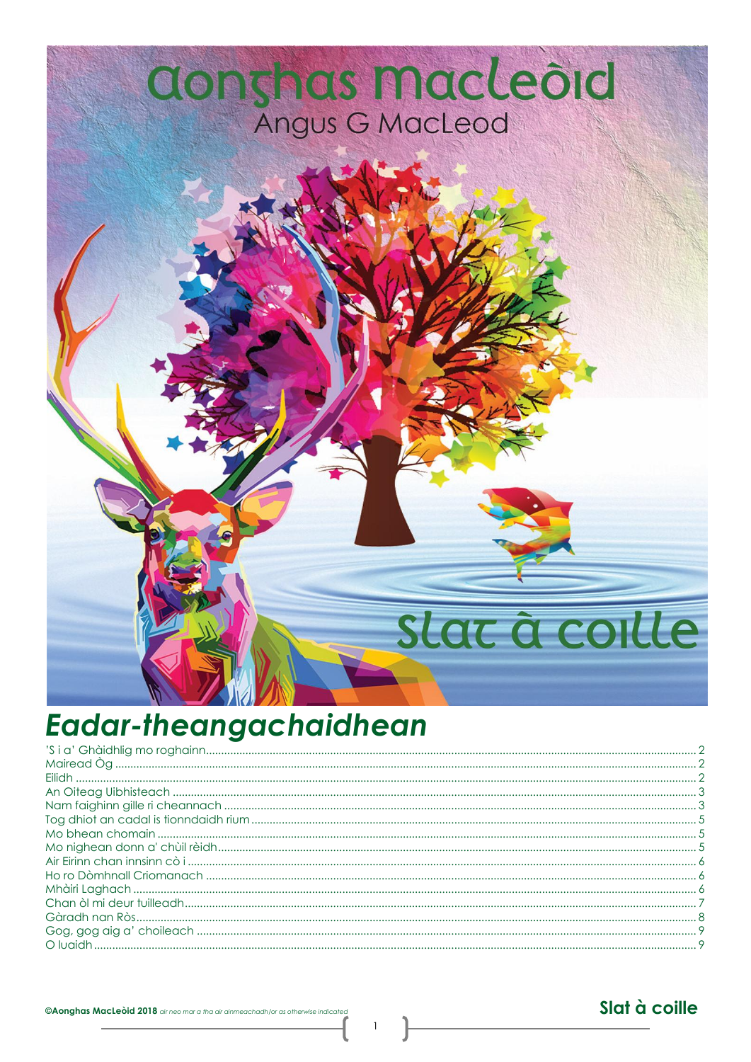## Clonghas macleord Angus G MacLeod

# slat à coille

## **Eadar-theangachaidhean**

| $\bigcap$ lugidh |  |
|------------------|--|

## Slat à coille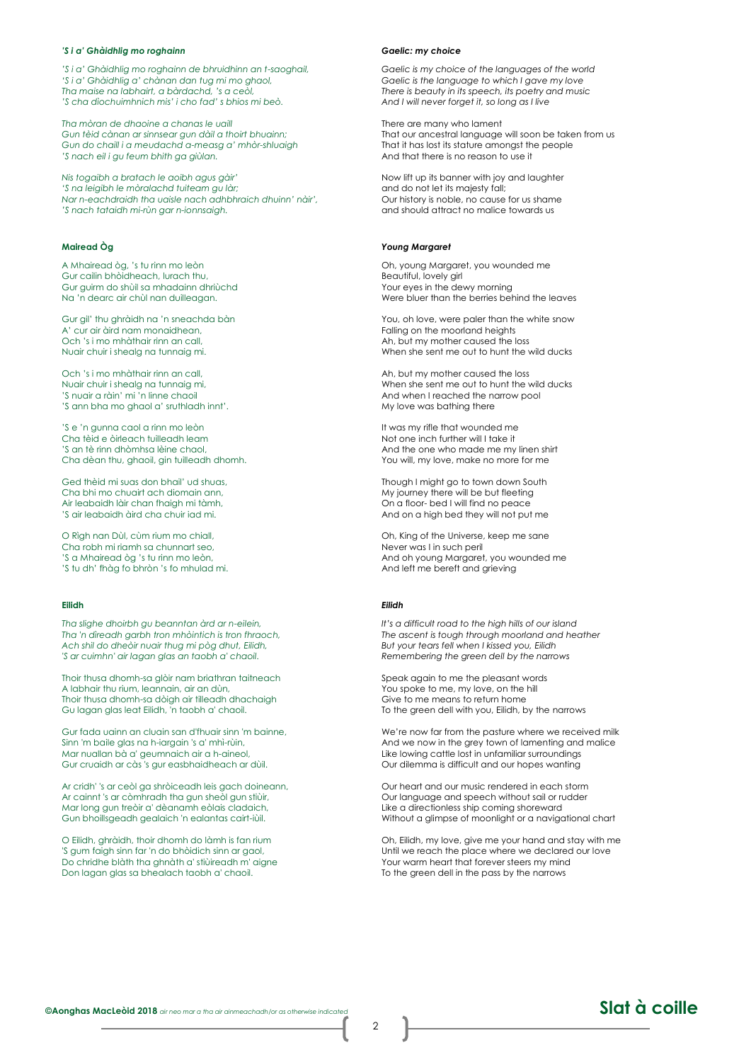## <span id="page-1-0"></span>*'S i a' Ghàidhlig mo roghainn*

*'S i a' Ghàidhlig mo roghainn de bhruidhinn an t-saoghail, 'S i a' Ghàidhlig a' chànan dan tug mi mo ghaol, Tha maise na labhairt, a bàrdachd, 's a ceòl, 'S cha dìochuimhnich mis' i cho fad' s bhios mi beò.*

*Tha mòran de dhaoine a chanas le uaill Gun tèid cànan ar sinnsear gun dàil a thoirt bhuainn; Gun do chaill i a meudachd a-measg a' mhòr-shluaigh 'S nach eil i gu feum bhith ga giùlan.*

*Nis togaibh a bratach le aoibh agus gàir' 'S na leigibh le mòralachd tuiteam gu làr; Nar n-eachdraidh tha uaisle nach adhbhraich dhuinn' nàir', 'S nach tataidh mi-rùn gar n-ionnsaigh.*

#### <span id="page-1-1"></span>**Mairead Òg**

A Mhairead òg, 's tu rinn mo leòn Gur cailin bhòidheach, lurach thu, Gur guirm do shùil sa mhadainn dhriùchd Na 'n dearc air chùl nan duilleagan.

Gur gil' thu ghràidh na 'n sneachda bàn A' cur air àird nam monaidhean, Och 's i mo mhàthair rinn an call, Nuair chuir i shealg na tunnaig mi.

Och 's i mo mhàthair rinn an call, Nuair chuir i shealg na tunnaig mi, 'S nuair a ràin' mi 'n linne chaoil 'S ann bha mo ghaol a' sruthladh innt'.

'S e 'n gunna caol a rinn mo leòn Cha tèid e òirleach tuilleadh leam 'S an tè rinn dhòmhsa lèine chaol, Cha dèan thu, ghaoil, gin tuilleadh dhomh.

Ged thèid mi suas don bhail' ud shuas, Cha bhi mo chuairt ach diomain ann, Air leabaidh làir chan fhaigh mi tàmh, 'S air leabaidh àird cha chuir iad mi.

O Rìgh nan Dùl, cùm rium mo chiall, Cha robh mi riamh sa chunnart seo, 'S a Mhairead òg 's tu rinn mo leòn, 'S tu dh' fhàg fo bhròn 's fo mhulad mi.

#### <span id="page-1-2"></span>**Eilidh**

*Tha slighe dhoirbh gu beanntan àrd ar n-eilein, Tha 'n dìreadh garbh tron mhòintich is tron fhraoch, Ach shil do dheòir nuair thug mi pòg dhut, Eilidh, 'S ar cuimhn' air lagan glas an taobh a' chaoil.*

Thoir thusa dhomh-sa glòir nam briathran taitneach A labhair thu rium, leannain, air an dùn, Thoir thusa dhomh-sa dòigh air tilleadh dhachaigh Gu lagan glas leat Eilidh, 'n taobh a' chaoil.

Gur fada uainn an cluain san d'fhuair sinn 'm bainne, Sinn 'm baile glas na h-iargain 's a' mhì-rùin, Mar nuallan bà a' geumnaich air a h-aineol, Gur cruaidh ar càs 's gur easbhaidheach ar dùil.

Ar cridh' 's ar ceòl ga shròiceadh leis gach doineann, Ar cainnt 's ar còmhradh tha gun sheòl gun stiùir, Mar long gun treòir a' dèanamh eòlais cladaich, Gun bhoillsgeadh gealaich 'n ealantas cairt-iùil.

O Eilidh, ghràidh, thoir dhomh do làmh is fan rium 'S gum faigh sinn far 'n do bhòidich sinn ar gaol, Do chridhe blàth tha ghnàth a' stiùireadh m' aigne Don lagan glas sa bhealach taobh a' chaoil.

#### *Gaelic: my choice*

*Gaelic is my choice of the languages of the world Gaelic is the language to which I gave my love There is beauty in its speech, its poetry and music And I will never forget it, so long as I live*

There are many who lament That our ancestral language will soon be taken from us That it has lost its stature amongst the people And that there is no reason to use it

Now lift up its banner with joy and laughter and do not let its majesty fall; Our history is noble, no cause for us shame and should attract no malice towards us

#### *Young Margaret*

Oh, young Margaret, you wounded me Beautiful, lovely girl Your eyes in the dewy morning Were bluer than the berries behind the leaves

You, oh love, were paler than the white snow Falling on the moorland heights Ah, but my mother caused the loss When she sent me out to hunt the wild ducks

Ah, but my mother caused the loss When she sent me out to hunt the wild ducks And when I reached the narrow pool My love was bathing there

It was my rifle that wounded me Not one inch further will I take it And the one who made me my linen shirt You will, my love, make no more for me

Though I might go to town down South My journey there will be but fleeting On a floor- bed I will find no peace And on a high bed they will not put me

Oh, King of the Universe, keep me sane Never was I in such peril And oh young Margaret, you wounded me And left me bereft and grieving

#### *Eilidh*

*It's a difficult road to the high hills of our island The ascent is tough through moorland and heather But your tears fell when I kissed you, Eilidh Remembering the green dell by the narrows*

Speak again to me the pleasant words You spoke to me, my love, on the hill Give to me means to return home To the green dell with you, Eilidh, by the narrows

We're now far from the pasture where we received milk And we now in the grey town of lamenting and malice Like lowing cattle lost in unfamiliar surroundings Our dilemma is difficult and our hopes wanting

Our heart and our music rendered in each storm Our language and speech without sail or rudder Like a directionless ship coming shoreward Without a glimpse of moonlight or a navigational chart

Oh, Eilidh, my love, give me your hand and stay with me Until we reach the place where we declared our love Your warm heart that forever steers my mind To the green dell in the pass by the narrows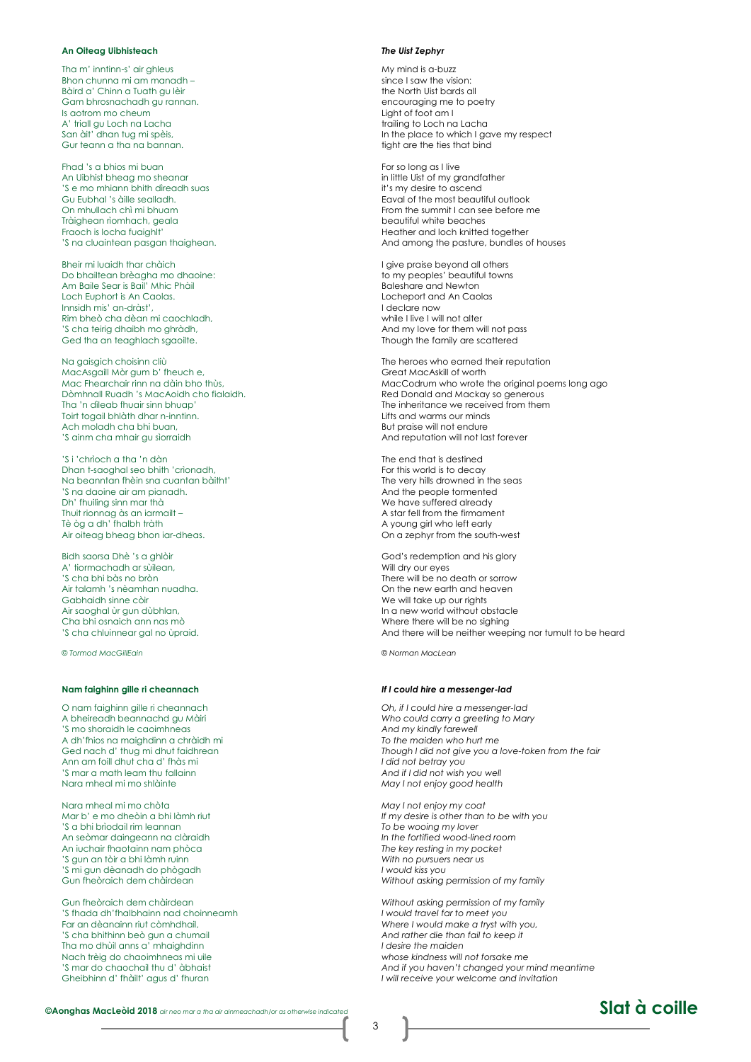## <span id="page-2-0"></span>**An Oiteag Uibhisteach**

Tha m' inntinn-s' air ghleus Bhon chunna mi am manadh – Bàird a' Chinn a Tuath gu lèir Gam bhrosnachadh gu rannan. Is aotrom mo cheum A' triall gu Loch na Lacha San àit' dhan tug mi spèis, Gur teann a tha na bannan.

Fhad 's a bhios mi buan An Uibhist bheag mo sheanar 'S e mo mhiann bhith dìreadh suas Gu Eubhal 's àille sealladh. On mhullach chì mi bhuam Tràighean rìomhach, geala Fraoch is locha fuaighlt' 'S na cluaintean pasgan thaighean.

Bheir mi luaidh thar chàich Do bhailtean brèagha mo dhaoine: Am Baile Sear is Bail' Mhic Phàil Loch Euphort is An Caolas. Innsidh mis' an-dràst', Rim bheò cha dèan mi caochladh, 'S cha teirig dhaibh mo ghràdh, Ged tha an teaghlach sgaoilte.

Na gaisgich choisinn cliù MacAsgaill Mòr gum b' fheuch e, Mac Fhearchair rinn na dàin bho thùs, Dòmhnall Ruadh 's MacAoidh cho fialaidh. Tha 'n dìleab fhuair sinn bhuap' Toirt togail bhlàth dhar n-inntinn. Ach moladh cha bhi buan, 'S ainm cha mhair gu sìorraidh

'S i 'chrìoch a tha 'n dàn Dhan t-saoghal seo bhith 'crìonadh, Na beanntan fhèin sna cuantan bàitht' 'S na daoine air am pianadh. Dh' fhuiling sinn mar thà Thuit rionnag às an iarmailt – Tè òg a dh' fhalbh tràth Air oiteag bheag bhon iar-dheas.

Bidh saorsa Dhè 's a ghlòir A' tiormachadh ar sùilean, 'S cha bhi bàs no bròn Air talamh 's nèamhan nuadha. Gabhaidh sinne còir Air saoghal ùr gun dùbhlan, Cha bhi osnaich ann nas mò 'S cha chluinnear gal no ùpraid.

*© Tormod MacGillEain* 

#### <span id="page-2-1"></span>**Nam faighinn gille ri cheannach**

O nam faighinn gille ri cheannach A bheireadh beannachd gu Màiri 'S mo shoraidh le caoimhneas A dh'fhios na maighdinn a chràidh mi Ged nach d' thug mi dhut faidhrean Ann am foill dhut cha d' fhàs mi 'S mar a math leam thu fallainn Nara mheal mi mo shlàinte

Nara mheal mi mo chòta Mar b' e mo dheòin a bhi làmh riut 'S a bhi brìodail rim leannan An seòmar daingeann na clàraidh An iuchair fhaotainn nam phòca 'S gun an tòir a bhi làmh ruinn 'S mi gun dèanadh do phògadh Gun fheòraich dem chàirdean

Gun fheòraich dem chàirdean 'S fhada dh'fhalbhainn nad choinneamh Far an dèanainn riut còmhdhail, 'S cha bhithinn beò gun a chumail Tha mo dhùil anns a' mhaighdinn Nach trèig do chaoimhneas mi uile 'S mar do chaochail thu d' àbhaist Gheibhinn d' fhàilt' agus d' fhuran

### *The Uist Zephyr*

My mind is a-buzz since I saw the vision: the North Uist bards all encouraging me to poetry Light of foot am I trailing to Loch na Lacha In the place to which I gave my respect tight are the ties that bind

For so long as I live in little Uist of my grandfather it's my desire to ascend Eaval of the most beautiful outlook From the summit I can see before me beautiful white beaches Heather and loch knitted together And among the pasture, bundles of houses

I give praise beyond all others to my peoples' beautiful towns Baleshare and Newton Locheport and An Caolas I declare now while I live I will not alter And my love for them will not pass Though the family are scattered

The heroes who earned their reputation Great MacAskill of worth MacCodrum who wrote the original poems long ago Red Donald and Mackay so generous The inheritance we received from them Lifts and warms our minds But praise will not endure And reputation will not last forever

The end that is destined For this world is to decay The very hills drowned in the seas And the people tormented We have suffered already A star fell from the firmament A young girl who left early On a zephyr from the south-west

God's redemption and his glory Will dry our eyes There will be no death or sorrow On the new earth and heaven We will take up our rights In a new world without obstacle Where there will be no sighing And there will be neither weeping nor tumult to be heard

*© Norman MacLean*

#### *If I could hire a messenger-lad*

*Oh, if I could hire a messenger-lad Who could carry a greeting to Mary And my kindly farewell To the maiden who hurt me Though I did not give you a love-token from the fair I did not betray you And if I did not wish you well May I not enjoy good health*

*May I not enjoy my coat If my desire is other than to be with you To be wooing my lover In the fortified wood-lined room The key resting in my pocket With no pursuers near us I would kiss you Without asking permission of my family*

*Without asking permission of my family I would travel far to meet you Where I would make a tryst with you, And rather die than fail to keep it I desire the maiden whose kindness will not forsake me And if you haven't changed your mind meantime I will receive your welcome and invitation* 

**Conghas MacLeòid 2018** *air neo mar a tha air ainmeachadh/or as otherwise indicated Coille*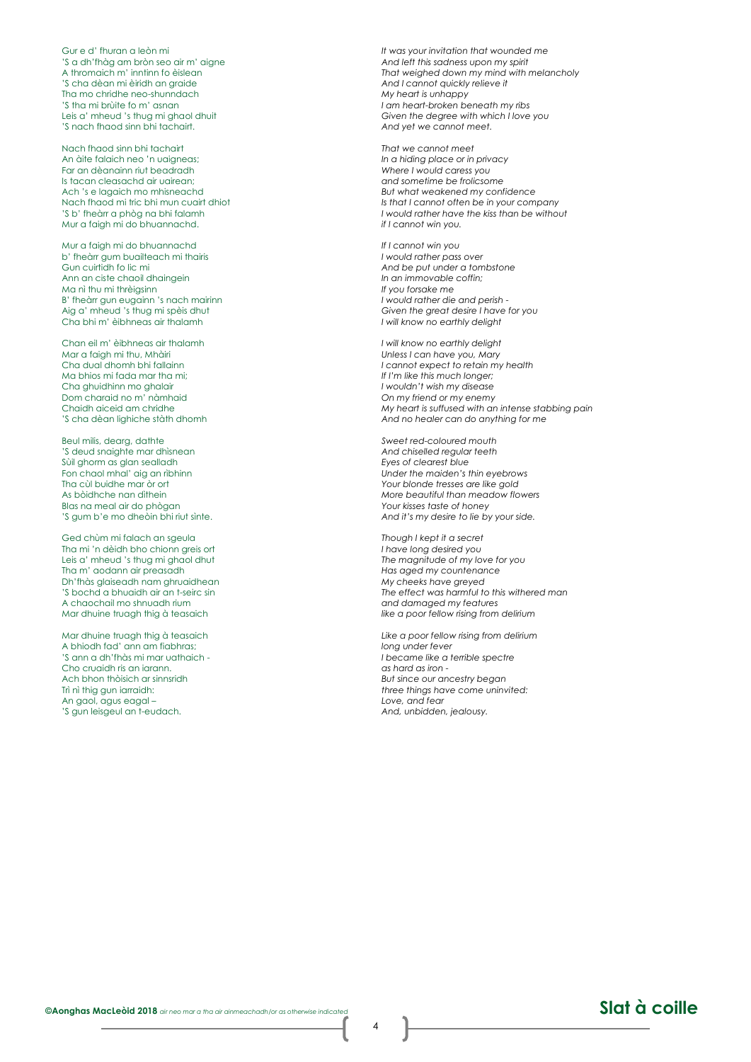Gur e d' fhuran a leòn mi 'S a dh'fhàg am bròn seo air m' aigne A thromaich m' inntinn fo èislean 'S cha dèan mi èiridh an graide Tha mo chridhe neo-shunndach 'S tha mi brùite fo m' asnan Leis a' mheud 's thug mi ghaol dhuit 'S nach fhaod sinn bhi tachairt.

Nach fhaod sinn bhi tachairt An àite falaich neo 'n uaigneas; Far an dèanainn riut beadradh Is tacan cleasachd air uairean; Ach 's e lagaich mo mhisneachd Nach fhaod mi tric bhi mun cuairt dhiot 'S b' fheàrr a phòg na bhi falamh Mur a faigh mi do bhuannachd.

Mur a faigh mi do bhuannachd b' fheàrr gum buailteach mi thairis Gun cuirtidh fo lic mi Ann an ciste chaoil dhaingein Ma nì thu mi thrèigsinn B' fheàrr gun eugainn 's nach mairinn Aig a' mheud 's thug mi spèis dhut Cha bhi m' èibhneas air thalamh

Chan eil m' èibhneas air thalamh Mar a faigh mi thu, Mhàiri Cha dual dhomh bhi fallainn Ma bhios mi fada mar tha mi; Cha ghuidhinn mo ghalair Dom charaid no m' nàmhaid Chaidh aiceid am chridhe 'S cha dèan lighiche stàth dhomh

Beul milis, dearg, dathte 'S deud snaighte mar dhìsnean Sùil ghorm as glan sealladh Fon chaol mhal' aig an rìbhinn Tha cùl buidhe mar òr ort As bòidhche nan dìthein Blas na meal air do phògan 'S gum b'e mo dheòin bhi riut sìnte.

Ged chùm mi falach an sgeula Tha mi 'n dèidh bho chionn greis ort Leis a' mheud 's thug mi ghaol dhut Tha m' aodann air preasadh Dh'fhàs glaiseadh nam ghruaidhean 'S bochd a bhuaidh air an t-seirc sin A chaochail mo shnuadh rium Mar dhuine truagh thig à teasaich

<span id="page-3-0"></span>Mar dhuine truagh thig à teasaich A bhiodh fad' ann am fiabhras; 'S ann a dh'fhàs mi mar uathaich - Cho cruaidh ris an iarann. Ach bhon thòisich ar sinnsridh Trì nì thig gun iarraidh: An gaol, agus eagal – 'S gun leisgeul an t-eudach.

*It was your invitation that wounded me And left this sadness upon my spirit That weighed down my mind with melancholy And I cannot quickly relieve it My heart is unhappy I am heart-broken beneath my ribs Given the degree with which I love you And yet we cannot meet.*

*That we cannot meet In a hiding place or in privacy Where I would caress you and sometime be frolicsome But what weakened my confidence Is that I cannot often be in your company I would rather have the kiss than be without if I cannot win you.*

*If I cannot win you I would rather pass over And be put under a tombstone In an immovable coffin; If you forsake me I would rather die and perish - Given the great desire I have for you I will know no earthly delight*

*I will know no earthly delight Unless I can have you, Mary I cannot expect to retain my health If I'm like this much longer; I wouldn't wish my disease On my friend or my enemy My heart is suffused with an intense stabbing pain And no healer can do anything for me*

*Sweet red-coloured mouth And chiselled regular teeth Eyes of clearest blue Under the maiden's thin eyebrows Your blonde tresses are like gold More beautiful than meadow flowers Your kisses taste of honey And it's my desire to lie by your side.*

*Though I kept it a secret I have long desired you The magnitude of my love for you Has aged my countenance My cheeks have greyed The effect was harmful to this withered man and damaged my features like a poor fellow rising from delirium*

*Like a poor fellow rising from delirium long under fever I became like a terrible spectre as hard as iron - But since our ancestry began three things have come uninvited: Love, and fear And, unbidden, jealousy.*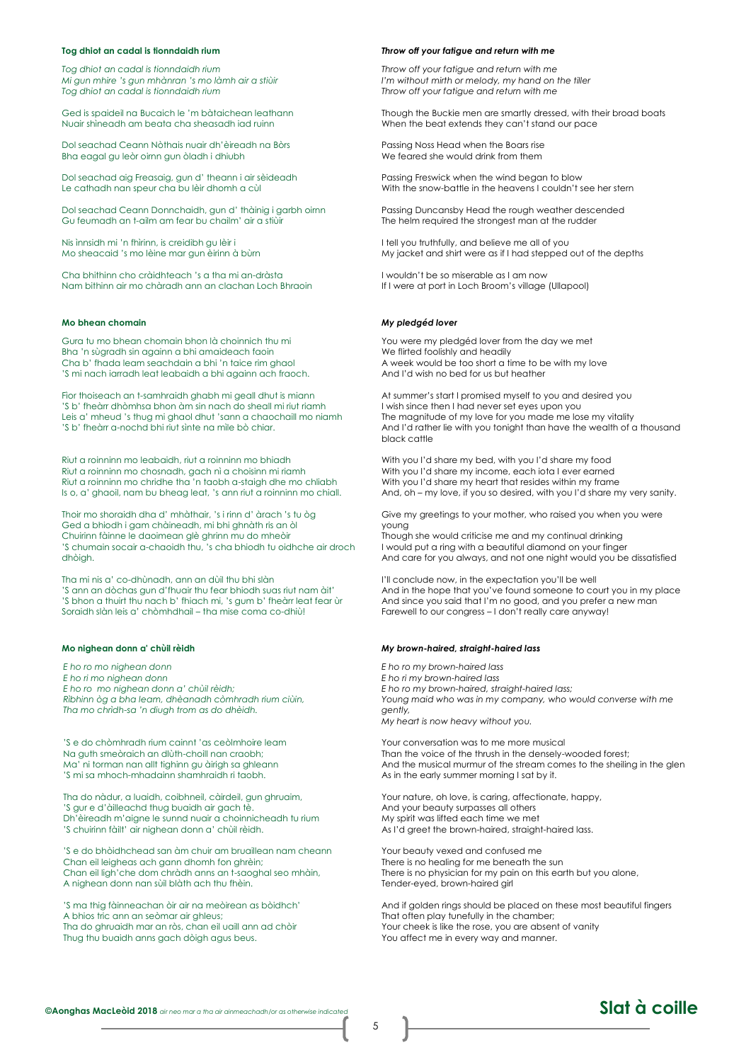#### **Tog dhiot an cadal is tionndaidh rium**

*Tog dhiot an cadal is tionndaidh rium Mi gun mhire 's gun mhànran 's mo làmh air a stiùir Tog dhiot an cadal is tionndaidh rium*

Ged is spaideil na Bucaich le 'm bàtaichean leathann Nuair shìneadh am beata cha sheasadh iad ruinn

Dol seachad Ceann Nòthais nuair dh'èireadh na Bòrs Bha eagal gu leòr oirnn gun òladh i dhiubh

Dol seachad aig Freasaig, gun d' theann i air sèideadh Le cathadh nan speur cha bu lèir dhomh a cùl

Dol seachad Ceann Donnchaidh, gun d' thàinig i garbh oirnn Gu feumadh an t-ailm am fear bu chailm' air a stiùir

Nis ìnnsidh mi 'n fhìrinn, is creidibh gu lèir i Mo sheacaid 's mo lèine mar gun èirinn à bùrn

Cha bhithinn cho cràidhteach 's a tha mi an-dràsta Nam bithinn air mo chàradh ann an clachan Loch Bhraoin

## <span id="page-4-0"></span>**Mo bhean chomain**

Gura tu mo bhean chomain bhon là choinnich thu mi Bha 'n sùgradh sin againn a bhi amaideach faoin Cha b' fhada leam seachdain a bhi 'n taice rim ghaol 'S mi nach iarradh leat leabaidh a bhi againn ach fraoch.

Fìor thoiseach an t-samhraidh ghabh mi geall dhut is miann 'S b' fheàrr dhòmhsa bhon àm sin nach do sheall mi riut riamh Leis a' mheud 's thug mi ghaol dhut 'sann a chaochaill mo niamh 'S b' fheàrr a-nochd bhi riut sìnte na mìle bò chiar.

Riut a roinninn mo leabaidh, riut a roinninn mo bhiadh Riut a roinninn mo chosnadh, gach nì a choisinn mi riamh Riut a roinninn mo chridhe tha 'n taobh a-staigh dhe mo chliabh Is o, a' ghaoil, nam bu bheag leat, 's ann riut a roinninn mo chiall.

Thoir mo shoraidh dha d' mhàthair, 's i rinn d' àrach 's tu òg Ged a bhiodh i gam chàineadh, mi bhi ghnàth ris an òl Chuirinn fàinne le daoimean glè ghrinn mu do mheòir 'S chumain socair a-chaoidh thu, 's cha bhiodh tu oidhche air droch dhòigh.

Tha mi nis a' co-dhùnadh, ann an dùil thu bhi slàn 'S ann an dòchas gun d'fhuair thu fear bhiodh suas riut nam àit' 'S bhon a thuirt thu nach b' fhiach mi, 's gum b' fheàrr leat fear ùr Soraidh slàn leis a' chòmhdhail – tha mise coma co-dhiù!

#### <span id="page-4-1"></span>**Mo nighean donn a' chùil rèidh**

*E ho ro mo nighean donn E ho ri mo nighean donn E ho ro mo nighean donn a' chùil rèidh; Rìbhinn òg a bha leam, dhèanadh còmhradh rium ciùin, Tha mo chrìdh-sa 'n diugh trom as do dhèidh.*

'S e do chòmhradh rium cainnt 'as ceòlmhoire leam Na guth smeòraich an dlùth-choill nan craobh; Ma' ni torman nan allt tighinn gu àirigh sa ghleann 'S mi sa mhoch-mhadainn shamhraidh ri taobh.

Tha do nàdur, a luaidh, coibhneil, càirdeil, gun ghruaim, 'S gur e d'àilleachd thug buaidh air gach tè. Dh'èireadh m'aigne le sunnd nuair a choinnicheadh tu rium 'S chuirinn fàilt' air nighean donn a' chùil rèidh.

'S e do bhòidhchead san àm chuir am bruaillean nam cheann Chan eil leigheas ach gann dhomh fon ghrèin; Chan eil ligh'che dom chràdh anns an t-saoghal seo mhàin, A nighean donn nan sùil blàth ach thu fhèin.

'S ma thig fàinneachan òir air na meòirean as bòidhch' A bhios tric ann an seòmar air ghleus; Tha do ghruaidh mar an ròs, chan eil uaill ann ad chòir Thug thu buaidh anns gach dòigh agus beus.

#### *Throw off your fatigue and return with me*

*Throw off your fatigue and return with me I'm without mirth or melody, my hand on the tiller Throw off your fatigue and return with me*

Though the Buckie men are smartly dressed, with their broad boats When the beat extends they can't stand our pace

Passing Noss Head when the Boars rise We feared she would drink from them

Passing Freswick when the wind began to blow With the snow-battle in the heavens I couldn't see her stern

Passing Duncansby Head the rough weather descended The helm required the strongest man at the rudder

I tell you truthfully, and believe me all of you My jacket and shirt were as if I had stepped out of the depths

I wouldn't be so miserable as I am now If I were at port in Loch Broom's village (Ullapool)

#### *My pledgéd lover*

You were my pledgéd lover from the day we met We flirted foolishly and headily A week would be too short a time to be with my love And I'd wish no bed for us but heather

At summer's start I promised myself to you and desired you I wish since then I had never set eyes upon you The magnitude of my love for you made me lose my vitality And I'd rather lie with you tonight than have the wealth of a thousand black cattle

With you I'd share my bed, with you I'd share my food With you I'd share my income, each iota I ever earned With you I'd share my heart that resides within my frame And, oh – my love, if you so desired, with you I'd share my very sanity.

Give my greetings to your mother, who raised you when you were young

Though she would criticise me and my continual drinking I would put a ring with a beautiful diamond on your finger And care for you always, and not one night would you be dissatisfied

I'll conclude now, in the expectation you'll be well And in the hope that you've found someone to court you in my place And since you said that I'm no good, and you prefer a new man Farewell to our congress – I don't really care anyway!

#### *My brown-haired, straight-haired lass*

*E ho ro my brown-haired lass E ho ri my brown-haired lass E ho ro my brown-haired, straight-haired lass; Young maid who was in my company, who would converse with me gently, My heart is now heavy without you.*

Your conversation was to me more musical Than the voice of the thrush in the densely-wooded forest; And the musical murmur of the stream comes to the sheiling in the glen As in the early summer morning I sat by it.

Your nature, oh love, is caring, affectionate, happy, And your beauty surpasses all others My spirit was lifted each time we met As I'd greet the brown-haired, straight-haired lass.

Your beauty vexed and confused me There is no healing for me beneath the sun There is no physician for my pain on this earth but you alone, Tender-eyed, brown-haired girl

And if golden rings should be placed on these most beautiful fingers That often play tunefully in the chamber; Your cheek is like the rose, you are absent of vanity You affect me in every way and manner.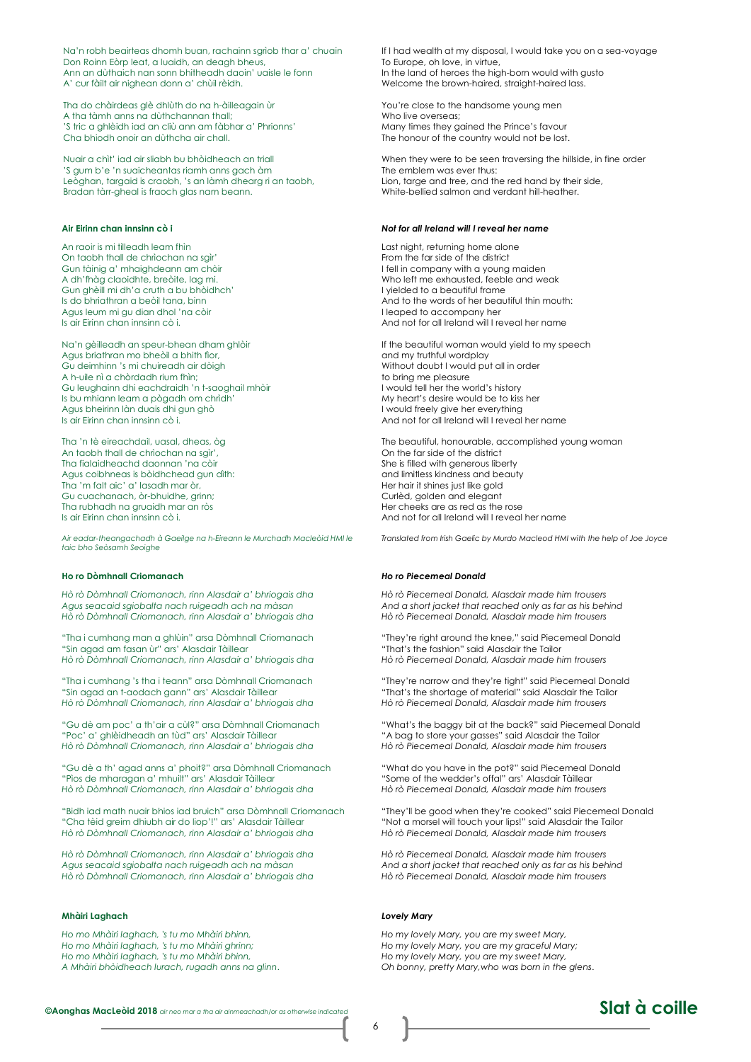Na'n robh beairteas dhomh buan, rachainn sgrìob thar a' chuain Don Roinn Eòrp leat, a luaidh, an deagh bheus, Ann an dùthaich nan sonn bhitheadh daoin' uaisle le fonn A' cur fàilt air nighean donn a' chùil rèidh.

Tha do chàirdeas glè dhlùth do na h-àilleagain ùr A tha tàmh anns na dùthchannan thall; 'S tric a ghlèidh iad an cliù ann am fàbhar a' Phrionns' Cha bhiodh onoir an dùthcha air chall.

Nuair a chìt' iad air sliabh bu bhòidheach an triall 'S gum b'e 'n suaicheantas riamh anns gach àm Leòghan, targaid is craobh, 's an làmh dhearg ri an taobh, Bradan tàrr-gheal is fraoch glas nam beann.

#### <span id="page-5-0"></span>**Air Eirinn chan innsinn cò i**

An raoir is mi tilleadh leam fhìn On taobh thall de chrìochan na sgìr' Gun tàinig a' mhaighdeann am chòir A dh'fhàg claoidhte, breòite, lag mi. Gun ghèill mi dh'a cruth a bu bhòidhch' Is do bhriathran a beòil tana, binn Agus leum mi gu dian dhol 'na còir Is air Eirinn chan innsinn cò i.

Na'n gèilleadh an speur-bhean dham ghlòir Agus briathran mo bheòil a bhith fìor, Gu deimhinn 's mi chuireadh air dòigh A h-uile nì a chòrdadh rium fhìn; Gu leughainn dhi eachdraidh 'n t-saoghail mhòir Is bu mhiann leam a pògadh om chrìdh' Agus bheirinn làn duais dhi gun ghò Is air Eirinn chan innsinn cò i.

Tha 'n tè eireachdail, uasal, dheas, òg An taobh thall de chrìochan na sgìr', Tha fialaidheachd daonnan 'na còir Agus coibhneas is bòidhchead gun dìth: Tha 'm falt aic' a' lasadh mar òr, Gu cuachanach, òr-bhuidhe, grinn; Tha rubhadh na gruaidh mar an ròs Is air Eirinn chan innsinn cò i.

*Air eadar-theangachadh [à Gaeilge](http://faclair.com/ViewEntry.aspx?ID=29492AEDB1B92BF01834FC4E16F68075) na h-Eireann le Murchadh Macleòid HMI le taic bho Seòsamh Seoighe*

#### <span id="page-5-1"></span>**Ho ro Dòmhnall Criomanach**

*Hò rò Dòmhnall Criomanach, rinn Alasdair a' bhriogais dha Agus seacaid sgiobalta nach ruigeadh ach na màsan Hò rò Dòmhnall Criomanach, rinn Alasdair a' bhriogais dha*

"Tha i cumhang man a ghlùin" arsa Dòmhnall Criomanach "Sin agad am fasan ùr" ars' Alasdair Tàillear *Hò rò Dòmhnall Criomanach, rinn Alasdair a' bhriogais dha*

"Tha i cumhang 's tha i teann" arsa Dòmhnall Criomanach "Sin agad an t-aodach gann" ars' Alasdair Tàillear *Hò rò Dòmhnall Criomanach, rinn Alasdair a' bhriogais dha*

"Gu dè am poc' a th'air a cùl?" arsa Dòmhnall Criomanach "Poc' a' ghlèidheadh an tùd" ars' Alasdair Tàillear *Hò rò Dòmhnall Criomanach, rinn Alasdair a' bhriogais dha*

"Gu dè a th' agad anns a' phoit?" arsa Dòmhnall Criomanach "Pìos de mharagan a' mhuilt" ars' Alasdair Tàillear *Hò rò Dòmhnall Criomanach, rinn Alasdair a' bhriogais dha*

"Bidh iad math nuair bhios iad bruich" arsa Dòmhnall Criomanach "Cha tèid greim dhiubh air do liop'!" ars' Alasdair Tàillear *Hò rò Dòmhnall Criomanach, rinn Alasdair a' bhriogais dha*

*Hò rò Dòmhnall Criomanach, rinn Alasdair a' bhriogais dha Agus seacaid sgiobalta nach ruigeadh ach na màsan Hò rò Dòmhnall Criomanach, rinn Alasdair a' bhriogais dha*

#### <span id="page-5-2"></span>**Mhàiri Laghach**

*Ho mo Mhàiri laghach, 's tu mo Mhàiri bhinn, Ho mo Mhàiri laghach, 's tu mo Mhàiri ghrinn; Ho mo Mhàiri laghach, 's tu mo Mhàiri bhinn, A Mhàiri bhòidheach lurach, rugadh anns na glinn*. If I had wealth at my disposal, I would take you on a sea-voyage To Europe, oh love, in virtue, In the land of heroes the high-born would with gusto Welcome the brown-haired, straight-haired lass.

You're close to the handsome young men Who live overseas; Many times they gained the Prince's favour The honour of the country would not be lost.

When they were to be seen traversing the hillside, in fine order The emblem was ever thus: Lion, targe and tree, and the red hand by their side, White-bellied salmon and verdant hill-heather.

#### *Not for all Ireland will I reveal her name*

Last night, returning home alone From the far side of the district I fell in company with a young maiden Who left me exhausted, feeble and weak I yielded to a beautiful frame And to the words of her beautiful thin mouth: I leaped to accompany her And not for all Ireland will I reveal her name

If the beautiful woman would yield to my speech and my truthful wordplay Without doubt I would put all in order to bring me pleasure I would tell her the world's history My heart's desire would be to kiss her I would freely give her everything And not for all Ireland will I reveal her name

The beautiful, honourable, accomplished young woman On the far side of the district She is filled with generous liberty and limitless kindness and beauty Her hair it shines just like gold Curlèd, golden and elegant Her cheeks are as red as the rose And not for all Ireland will I reveal her name

*Translated from Irish Gaelic by Murdo Macleod HMI with the help of Joe Joyce*

#### *Ho ro Piecemeal Donald*

*Hò rò Piecemeal Donald, Alasdair made him trousers And a short jacket that reached only as far as his behind Hò rò Piecemeal Donald, Alasdair made him trousers*

"They're right around the knee," said Piecemeal Donald "That's the fashion" said Alasdair the Tailor *Hò rò Piecemeal Donald, Alasdair made him trousers*

"They're narrow and they're tight" said Piecemeal Donald "That's the shortage of material" said Alasdair the Tailor *Hò rò Piecemeal Donald, Alasdair made him trousers*

"What's the baggy bit at the back?" said Piecemeal Donald "A bag to store your gasses" said Alasdair the Tailor *Hò rò Piecemeal Donald, Alasdair made him trousers*

"What do you have in the pot?" said Piecemeal Donald "Some of the wedder's offal" ars' Alasdair Tàillear *Hò rò Piecemeal Donald, Alasdair made him trousers*

"They'll be good when they're cooked" said Piecemeal Donald "Not a morsel will touch your lips!" said Alasdair the Tailor *Hò rò Piecemeal Donald, Alasdair made him trousers*

*Hò rò Piecemeal Donald, Alasdair made him trousers And a short jacket that reached only as far as his behind Hò rò Piecemeal Donald, Alasdair made him trousers*

#### *Lovely Mary*

*Ho my lovely Mary, you are my sweet Mary, Ho my lovely Mary, you are my graceful Mary; Ho my lovely Mary, you are my sweet Mary, Oh bonny, pretty Mary,who was born in the glens*.

## **©Aonghas MacLeòid 2018** *air neo mar a tha air ainmeachadh/or as otherwise indicated* **Slat à coille**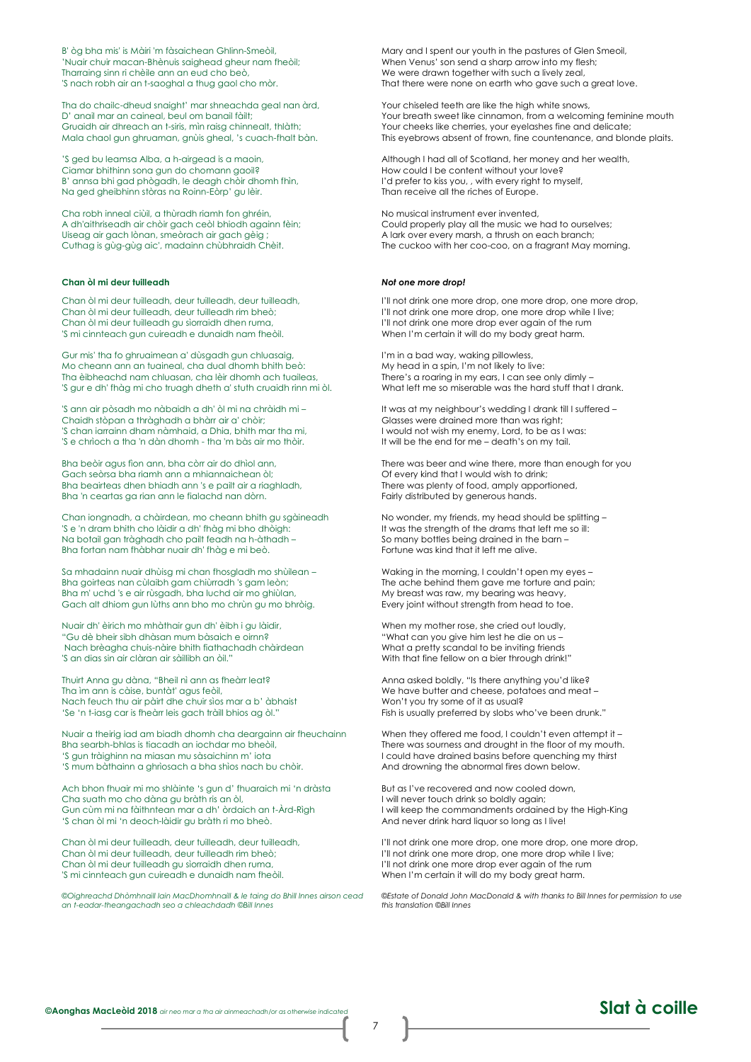B' òg bha mis' is Màiri 'm fàsaichean Ghlinn-Smeòil, 'Nuair chuir macan-Bhènuis saighead gheur nam fheòil; Tharraing sinn ri chèile ann an eud cho beò, 'S nach robh air an t-saoghal a thug gaol cho mòr.

Tha do chailc-dheud snaight' mar shneachda geal nan àrd, D' anail mar an caineal, beul om banail fàilt; Gruaidh air dhreach an t-siris, mìn raisg chinnealt, thlàth; Mala chaol gun ghruaman, gnùis gheal, 's cuach-fhalt bàn.

'S ged bu leamsa Alba, a h-airgead is a maoin, Ciamar bhithinn sona gun do chomann gaoil? B' annsa bhi gad phògadh, le deagh chòir dhomh fhìn, Na ged gheibhinn stòras na Roinn-Eòrp' gu lèir.

Cha robh inneal ciùil, a thùradh riamh fоn ghréin, A dh'aithriseadh air chòir gach ceòl bhiodh againn fèin; Uiseag air gach lònan, smeòrach air gach gèig ; Cuthag is gùg-gùg aic', madainn chùbhraidh Chèit.

#### <span id="page-6-0"></span>**Chan òl mi deur tuilleadh**

Chan òl mi deur tuilleadh, deur tuilleadh, deur tuilleadh, Chan òl mi deur tuilleadh, deur tuilleadh rim bheò; Chan òl mi deur tuilleadh gu sìorraidh dhen ruma, 'S mi cinnteach gun cuireadh e dunaidh nam fheòil.

Gur mis' tha fo ghruaimean a' dùsgadh gun chluasaig, Mo cheann ann an tuaineal, cha dual dhomh bhith beò: Tha èibheachd nam chluasan, cha lèir dhomh ach tuaileas, 'S gur e dh' fhàg mi cho truagh dheth a' stuth cruaidh rinn mi òl.

'S ann air pòsadh mo nàbaidh a dh' òl mi na chràidh mi – Chaidh stòpan a thràghadh a bhàrr air a' chòir; 'S chan iarrainn dham nàmhaid, a Dhia, bhith mar tha mi, 'S e chrìoch a tha 'n dàn dhomh - tha 'm bàs air mo thòir.

Bha beòir agus fìon ann, bha còrr air do dhìol ann, Gach seòrsa bha riamh ann a mhiannaichean òl; Bha beairteas dhen bhiadh ann 's e pailt air a riaghladh, Bha 'n ceartas ga rian ann le fialachd nan dòrn.

Chan iongnadh, a chàirdean, mo cheann bhith gu sgàineadh 'S e 'n dram bhith cho làidir a dh' fhàg mi bho dhòigh: Na botail gan tràghadh cho pailt feadh na h-àthadh – Bha fortan nam fhàbhar nuair dh' fhàg e mi beò.

Sa mhadainn nuair dhùisg mi chan fhosgladh mo shùilean – Bha goirteas nan cùlaibh gam chiùrradh 's gam leòn; Bha m' uchd 's e air rùsgadh, bha luchd air mo ghiùlan, Gach alt dhiom gun lùths ann bho mo chrùn gu mo bhròig.

Nuair dh' èirich mo mhàthair gun dh' èibh i gu làidir, "Gu dè bheir sibh dhàsan mum bàsaich e oirnn? Nach brèagha chuis-nàire bhith fiathachadh chàirdean 'S an dias sin air clàran air sàillibh an òil."

Thuirt Anna gu dàna, "Bheil nì ann as fheàrr leat? Tha ìm ann is càise, buntàt' agus feòil, Nach feuch thu air pàirt dhe chuir sìos mar a b' àbhaist 'Se 'n t-iasg car is fheàrr leis gach tràill bhios ag òl."

Nuair a theirig iad am biadh dhomh cha deargainn air fheuchainn Bha searbh-bhlas is tiacadh an iochdar mo bheòil, 'S gun tràighinn na miasan mu sàsaichinn m' iota 'S mum bàthainn a ghrìosach a bha shìos nach bu chòir.

Ach bhon fhuair mi mo shlàinte 's gun d' fhuaraich mi 'n dràsta Cha suath mo cho dàna gu bràth ris an òl, Gun cùm mi na fàithntean mar a dh' òrdaich an t-Àrd-Rìgh 'S chan òl mi 'n deoch-làidir gu bràth ri mo bheò.

Chan òl mi deur tuilleadh, deur tuilleadh, deur tuilleadh, Chan òl mi deur tuilleadh, deur tuilleadh rim bheò; Chan òl mi deur tuilleadh gu sìorraidh dhen ruma, 'S mi cinnteach gun cuireadh e dunaidh nam fheòil.

<span id="page-6-1"></span>*©Oighreachd Dhòmhnaill Iain MacDhomhnaill & le taing do Bhill Innes airson cead an t-eadar-theangachadh seo a chleachdadh ©Bill Innes*

Mary and I spent our youth in the pastures of Glen Smeoil, When Venus' son send a sharp arrow into my flesh; We were drawn together with such a lively zeal, That there were none on earth who gave such a great love.

Your chiseled teeth are like the high white snows, Your breath sweet like cinnamon, from a welcoming feminine mouth Your cheeks like cherries, your eyelashes fine and delicate; This eyebrows absent of frown, fine countenance, and blonde plaits.

Although I had all of Scotland, her money and her wealth, How could I be content without your love? I'd prefer to kiss you, , with every right to myself, Than receive all the riches of Europe.

No musical instrument ever invented, Could properly play all the music we had to ourselves; A lark over every marsh, a thrush on each branch; The cuckoo with her coo-coo, on a fragrant May morning.

#### *Not one more drop!*

I'll not drink one more drop, one more drop, one more drop, I'll not drink one more drop, one more drop while I live; I'll not drink one more drop ever again of the rum When I'm certain it will do my body great harm.

I'm in a bad way, waking pillowless, My head in a spin, I'm not likely to live: There's a roaring in my ears, I can see only dimly – What left me so miserable was the hard stuff that I drank.

It was at my neighbour's wedding I drank till I suffered – Glasses were drained more than was right; I would not wish my enemy, Lord, to be as I was: It will be the end for me – death's on my tail.

There was beer and wine there, more than enough for you Of every kind that I would wish to drink; There was plenty of food, amply apportioned, Fairly distributed by generous hands.

No wonder, my friends, my head should be splitting – It was the strength of the drams that left me so ill: So many bottles being drained in the barn – Fortune was kind that it left me alive.

Waking in the morning, I couldn't open my eyes – The ache behind them gave me torture and pain; My breast was raw, my bearing was heavy, Every joint without strength from head to toe.

When my mother rose, she cried out loudly, "What can you give him lest he die on us – What a pretty scandal to be inviting friends With that fine fellow on a bier through drink!"

Anna asked boldly, "Is there anything you'd like? We have butter and cheese, potatoes and meat – Won't you try some of it as usual? Fish is usually preferred by slobs who've been drunk."

When they offered me food, I couldn't even attempt it -There was sourness and drought in the floor of my mouth. I could have drained basins before quenching my thirst And drowning the abnormal fires down below.

But as I've recovered and now cooled down, I will never touch drink so boldly again; I will keep the commandments ordained by the High-King And never drink hard liquor so long as I live!

I'll not drink one more drop, one more drop, one more drop, I'll not drink one more drop, one more drop while I live; I'll not drink one more drop ever again of the rum When I'm certain it will do my body great harm.

*©Estate of Donald John MacDonald & with thanks to Bill Innes for permission to use this translation ©Bill Innes*

## **©Aonghas MacLeòid 2018** *air neo mar a tha air ainmeachadh/or as otherwise indicated* **Slat à coille**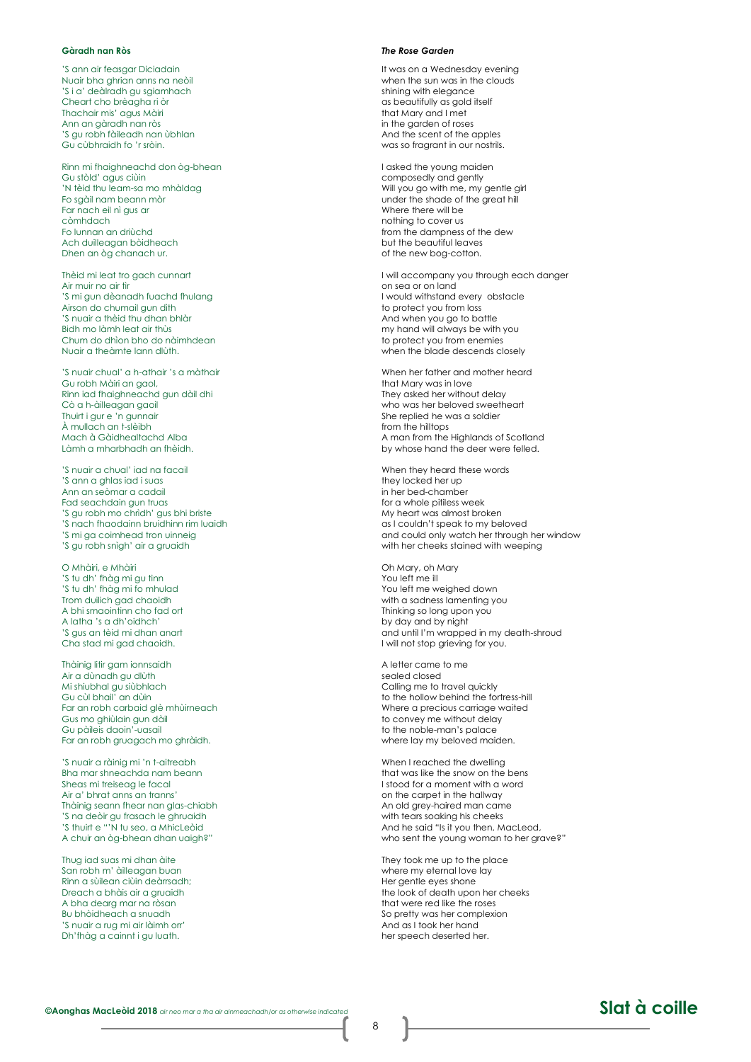## **Gàradh nan Ròs**

'S ann air feasgar Diciadain Nuair bha ghrian anns na neòil 'S i a' deàlradh gu sgiamhach Cheart cho brèagha ri òr Thachair mis' agus Màiri Ann an gàradh nan ròs 'S gu robh fàileadh nan ùbhlan Gu cùbhraidh fo 'r sròin.

Rinn mi fhaighneachd don òg-bhean Gu stòld' agus ciùin 'N tèid thu leam-sa mo mhàldag Fo sgàil nam beann mòr Far nach eil nì gus ar còmhdach Fo lunnan an driùchd Ach duilleagan bòidheach Dhen an òg chanach ur.

Thèid mi leat tro gach cunnart Air muir no air tìr 'S mi gun dèanadh fuachd fhulang Airson do chumail gun dìth 'S nuair a thèid thu dhan bhlàr Bidh mo làmh leat air thùs Chum do dhìon bho do nàimhdean Nuair a theàrnte lann dlùth.

'S nuair chual' a h-athair 's a màthair Gu robh Màiri an gaol, Rinn iad fhaighneachd gun dàil dhi Cò a h-àilleagan gaoil Thuirt i gur e 'n gunnair À mullach an t-slèibh Mach à Gàidhealtachd Alba Làmh a mharbhadh an fhèidh.

'S nuair a chual' iad na facail 'S ann a ghlas iad i suas Ann an seòmar a cadail Fad seachdain gun truas 'S gu robh mo chrìdh' gus bhi briste 'S nach fhaodainn bruidhinn rim luaidh 'S mi ga coimhead tron uinneig 'S gu robh snìgh' air a gruaidh

O Mhàiri, e Mhàiri 'S tu dh' fhàg mi gu tinn 'S tu dh' fhàg mi fo mhulad Trom duilich gad chaoidh A bhi smaointinn cho fad ort A latha 's a dh'oidhch' 'S gus an tèid mi dhan anart Cha stad mi gad chaoidh.

Thàinig litir gam ionnsaidh Air a dùnadh gu dlùth Mi shiubhal gu siùbhlach Gu cùl bhail' an dùin Far an robh carbaid glè mhùirneach Gus mo ghiùlain gun dàil Gu pàileis daoin'-uasail Far an robh gruagach mo ghràidh.

'S nuair a ràinig mi 'n t-aitreabh Bha mar shneachda nam beann Sheas mi treiseag le facal Air a' bhrat anns an tranns' Thàinig seann fhear nan glas-chiabh 'S na deòir gu frasach le ghruaidh 'S thuirt e "'N tu seo, a MhicLeòid A chuir an òg-bhean dhan uaigh?"

Thug iad suas mi dhan àite San robh m' àilleagan buan Rinn a sùilean ciùin deàrrsadh; Dreach a bhàis air a gruaidh A bha dearg mar na ròsan Bu bhòidheach a snuadh 'S nuair a rug mi air làimh orr' Dh'fhàg a cainnt i gu luath.

#### *The Rose Garden*

It was on a Wednesday evening when the sun was in the clouds shining with elegance as beautifully as gold itself that Mary and I met in the garden of roses And the scent of the apples was so fragrant in our nostrils.

I asked the young maiden composedly and gently Will you go with me, my gentle girl under the shade of the great hill Where there will be nothing to cover us from the dampness of the dew but the beautiful leaves of the new bog-cotton.

I will accompany you through each danger on sea or on land I would withstand every obstacle to protect you from loss And when you go to battle my hand will always be with you to protect you from enemies when the blade descends closely

When her father and mother heard that Mary was in love They asked her without delay who was her beloved sweetheart She replied he was a soldier from the hilltops A man from the Highlands of Scotland by whose hand the deer were felled.

When they heard these words they locked her up in her bed-chamber for a whole pitiless week My heart was almost broken as I couldn't speak to my beloved and could only watch her through her window with her cheeks stained with weeping

Oh Mary, oh Mary You left me ill You left me weighed down with a sadness lamenting you Thinking so long upon you by day and by night and until I'm wrapped in my death-shroud I will not stop grieving for you.

A letter came to me sealed closed Calling me to travel quickly to the hollow behind the fortress-hill Where a precious carriage waited to convey me without delay to the noble-man's palace where lay my beloved maiden.

When I reached the dwelling that was like the snow on the bens I stood for a moment with a word on the carpet in the hallway An old grey-haired man came with tears soaking his cheeks And he said "Is it you then, MacLeod, who sent the young woman to her grave?"

They took me up to the place where my eternal love lay Her gentle eyes shone the look of death upon her cheeks that were red like the roses So pretty was her complexion And as I took her hand her speech deserted her.